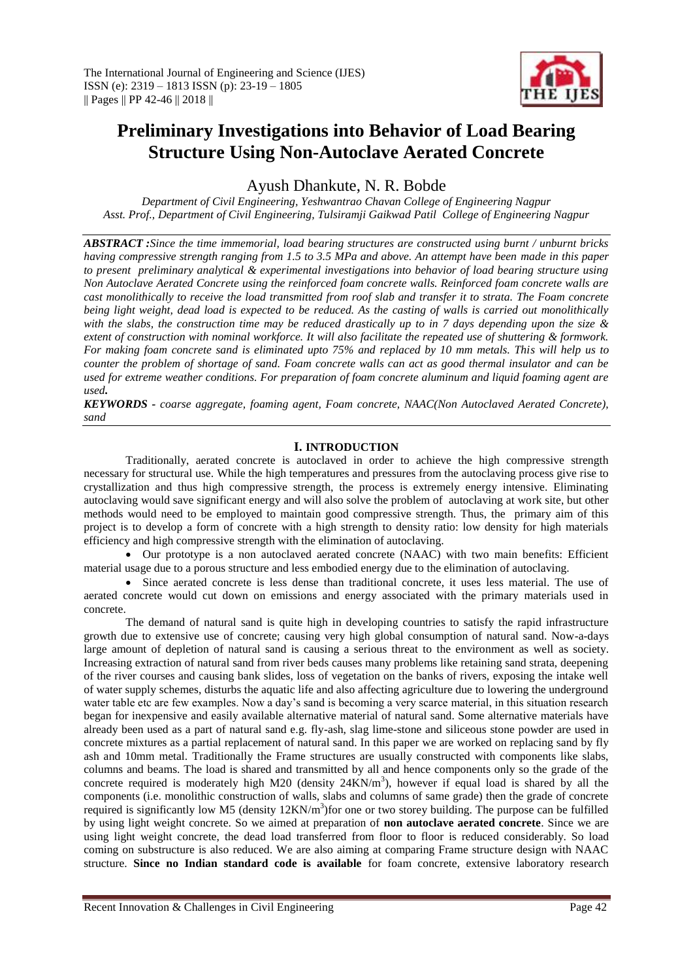

# **Preliminary Investigations into Behavior of Load Bearing Structure Using Non-Autoclave Aerated Concrete**

Ayush Dhankute, N. R. Bobde

*Department of Civil Engineering, Yeshwantrao Chavan College of Engineering Nagpur Asst. Prof., Department of Civil Engineering, Tulsiramji Gaikwad Patil College of Engineering Nagpur*

*ABSTRACT :Since the time immemorial, load bearing structures are constructed using burnt / unburnt bricks having compressive strength ranging from 1.5 to 3.5 MPa and above. An attempt have been made in this paper to present preliminary analytical & experimental investigations into behavior of load bearing structure using Non Autoclave Aerated Concrete using the reinforced foam concrete walls. Reinforced foam concrete walls are cast monolithically to receive the load transmitted from roof slab and transfer it to strata. The Foam concrete being light weight, dead load is expected to be reduced. As the casting of walls is carried out monolithically with the slabs, the construction time may be reduced drastically up to in 7 days depending upon the size & extent of construction with nominal workforce. It will also facilitate the repeated use of shuttering & formwork. For making foam concrete sand is eliminated upto 75% and replaced by 10 mm metals. This will help us to counter the problem of shortage of sand. Foam concrete walls can act as good thermal insulator and can be used for extreme weather conditions. For preparation of foam concrete aluminum and liquid foaming agent are used.*

*KEYWORDS - coarse aggregate, foaming agent, Foam concrete, NAAC(Non Autoclaved Aerated Concrete), sand*

# **I. INTRODUCTION**

Traditionally, aerated concrete is autoclaved in order to achieve the high compressive strength necessary for structural use. While the high temperatures and pressures from the autoclaving process give rise to crystallization and thus high compressive strength, the process is extremely energy intensive. Eliminating autoclaving would save significant energy and will also solve the problem of autoclaving at work site, but other methods would need to be employed to maintain good compressive strength. Thus, the primary aim of this project is to develop a form of concrete with a high strength to density ratio: low density for high materials efficiency and high compressive strength with the elimination of autoclaving.

 Our prototype is a non autoclaved aerated concrete (NAAC) with two main benefits: Efficient material usage due to a porous structure and less embodied energy due to the elimination of autoclaving.

 Since aerated concrete is less dense than traditional concrete, it uses less material. The use of aerated concrete would cut down on emissions and energy associated with the primary materials used in concrete.

The demand of natural sand is quite high in developing countries to satisfy the rapid infrastructure growth due to extensive use of concrete; causing very high global consumption of natural sand. Now-a-days large amount of depletion of natural sand is causing a serious threat to the environment as well as society. Increasing extraction of natural sand from river beds causes many problems like retaining sand strata, deepening of the river courses and causing bank slides, loss of vegetation on the banks of rivers, exposing the intake well of water supply schemes, disturbs the aquatic life and also affecting agriculture due to lowering the underground water table etc are few examples. Now a day's sand is becoming a very scarce material, in this situation research began for inexpensive and easily available alternative material of natural sand. Some alternative materials have already been used as a part of natural sand e.g. fly-ash, slag lime-stone and siliceous stone powder are used in concrete mixtures as a partial replacement of natural sand. In this paper we are worked on replacing sand by fly ash and 10mm metal. Traditionally the Frame structures are usually constructed with components like slabs, columns and beams. The load is shared and transmitted by all and hence components only so the grade of the concrete required is moderately high M20 (density  $24KN/m<sup>3</sup>$ ), however if equal load is shared by all the components (i.e. monolithic construction of walls, slabs and columns of same grade) then the grade of concrete required is significantly low M5 (density  $12KN/m^3$ ) for one or two storey building. The purpose can be fulfilled by using light weight concrete. So we aimed at preparation of **non autoclave aerated concrete**. Since we are using light weight concrete, the dead load transferred from floor to floor is reduced considerably. So load coming on substructure is also reduced. We are also aiming at comparing Frame structure design with NAAC structure. **Since no Indian standard code is available** for foam concrete, extensive laboratory research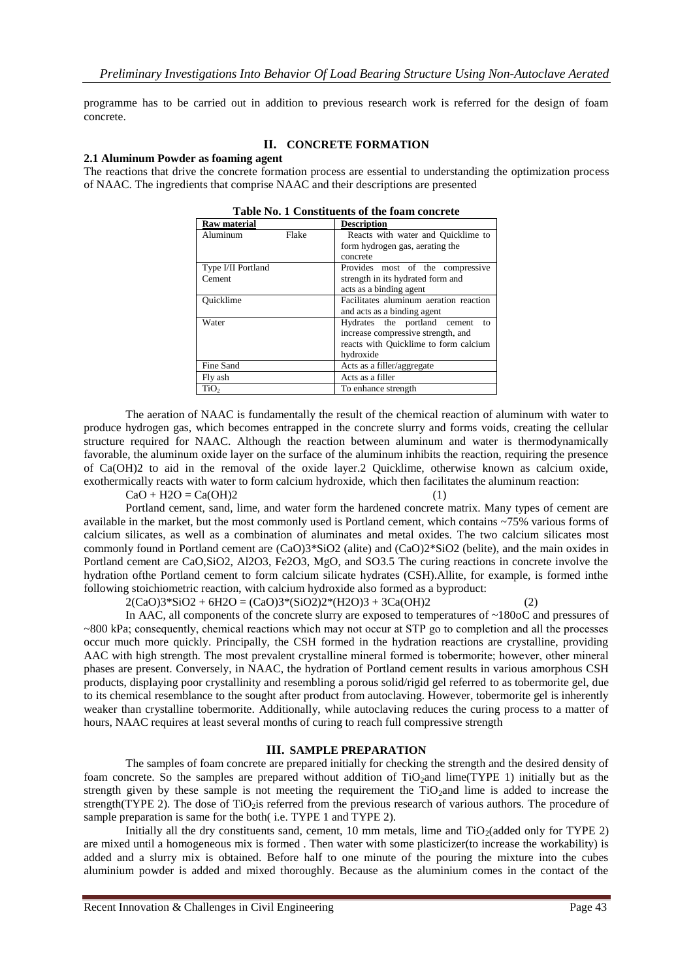programme has to be carried out in addition to previous research work is referred for the design of foam concrete.

#### **II. CONCRETE FORMATION**

#### **2.1 Aluminum Powder as foaming agent**

The reactions that drive the concrete formation process are essential to understanding the optimization process of NAAC. The ingredients that comprise NAAC and their descriptions are presented

| <b>Raw material</b> |       | <b>Description</b>                     |  |  |
|---------------------|-------|----------------------------------------|--|--|
| Aluminum            | Flake | Reacts with water and Quicklime to     |  |  |
|                     |       | form hydrogen gas, aerating the        |  |  |
|                     |       | concrete                               |  |  |
| Type I/II Portland  |       | Provides most of the compressive       |  |  |
| Cement              |       | strength in its hydrated form and      |  |  |
|                     |       | acts as a binding agent                |  |  |
| Ouicklime           |       | Facilitates aluminum aeration reaction |  |  |
|                     |       | and acts as a binding agent            |  |  |
| Water               |       | Hydrates the portland cement<br>to     |  |  |
|                     |       | increase compressive strength, and     |  |  |
|                     |       | reacts with Quicklime to form calcium  |  |  |
|                     |       | hydroxide                              |  |  |
| Fine Sand           |       | Acts as a filler/aggregate             |  |  |
| Fly ash             |       | Acts as a filler                       |  |  |
| TiO <sub>2</sub>    |       | To enhance strength                    |  |  |

The aeration of NAAC is fundamentally the result of the chemical reaction of aluminum with water to produce hydrogen gas, which becomes entrapped in the concrete slurry and forms voids, creating the cellular structure required for NAAC. Although the reaction between aluminum and water is thermodynamically favorable, the aluminum oxide layer on the surface of the aluminum inhibits the reaction, requiring the presence of Ca(OH)2 to aid in the removal of the oxide layer.2 Quicklime, otherwise known as calcium oxide, exothermically reacts with water to form calcium hydroxide, which then facilitates the aluminum reaction:

 $CaO + H2O = Ca(OH)2$  (1)

Portland cement, sand, lime, and water form the hardened concrete matrix. Many types of cement are available in the market, but the most commonly used is Portland cement, which contains ~75% various forms of calcium silicates, as well as a combination of aluminates and metal oxides. The two calcium silicates most commonly found in Portland cement are (CaO)3\*SiO2 (alite) and (CaO)2\*SiO2 (belite), and the main oxides in Portland cement are CaO,SiO2, Al2O3, Fe2O3, MgO, and SO3.5 The curing reactions in concrete involve the hydration ofthe Portland cement to form calcium silicate hydrates (CSH).Allite, for example, is formed inthe following stoichiometric reaction, with calcium hydroxide also formed as a byproduct:

 $2(CaO)3*SiO2 + 6H2O = (CaO)3*(SiO2)2*(H2O)3 + 3Ca(OH)2$  (2)

In AAC, all components of the concrete slurry are exposed to temperatures of ~180oC and pressures of ~800 kPa; consequently, chemical reactions which may not occur at STP go to completion and all the processes occur much more quickly. Principally, the CSH formed in the hydration reactions are crystalline, providing AAC with high strength. The most prevalent crystalline mineral formed is tobermorite; however, other mineral phases are present. Conversely, in NAAC, the hydration of Portland cement results in various amorphous CSH products, displaying poor crystallinity and resembling a porous solid/rigid gel referred to as tobermorite gel, due to its chemical resemblance to the sought after product from autoclaving. However, tobermorite gel is inherently weaker than crystalline tobermorite. Additionally, while autoclaving reduces the curing process to a matter of hours, NAAC requires at least several months of curing to reach full compressive strength

#### **III. SAMPLE PREPARATION**

The samples of foam concrete are prepared initially for checking the strength and the desired density of foam concrete. So the samples are prepared without addition of  $TiO<sub>2</sub>$  and lime(TYPE 1) initially but as the strength given by these sample is not meeting the requirement the  $TiO<sub>2</sub>$ and lime is added to increase the strength(TYPE 2). The dose of TiO<sub>2</sub>is referred from the previous research of various authors. The procedure of sample preparation is same for the both( i.e. TYPE 1 and TYPE 2).

Initially all the dry constituents sand, cement, 10 mm metals, lime and  $TiO<sub>2</sub>(added only for TYPE 2)$ are mixed until a homogeneous mix is formed . Then water with some plasticizer(to increase the workability) is added and a slurry mix is obtained. Before half to one minute of the pouring the mixture into the cubes aluminium powder is added and mixed thoroughly. Because as the aluminium comes in the contact of the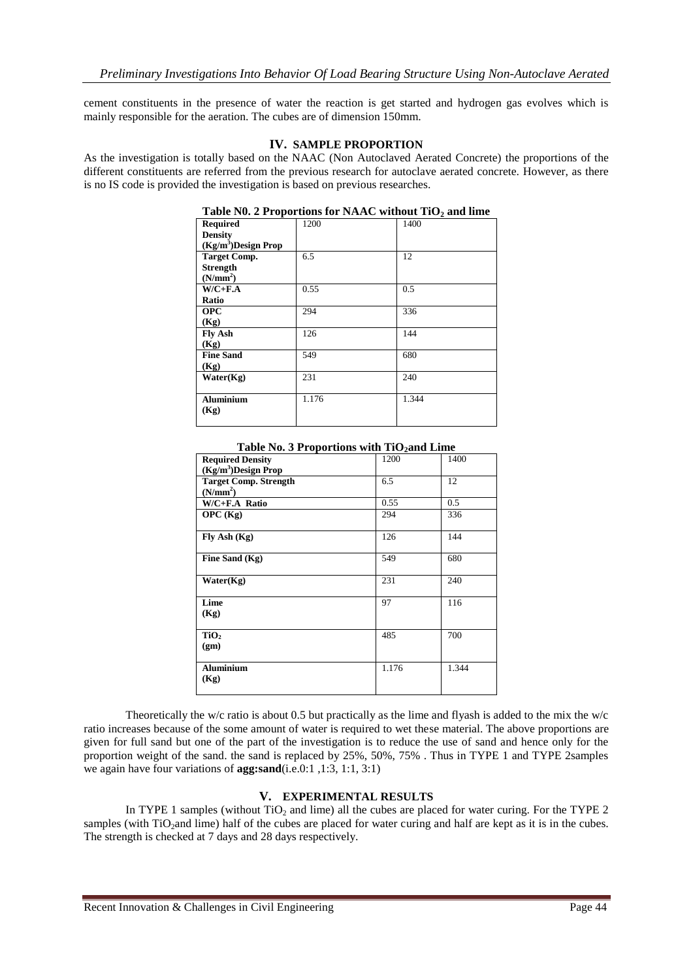cement constituents in the presence of water the reaction is get started and hydrogen gas evolves which is mainly responsible for the aeration. The cubes are of dimension 150mm.

## **IV. SAMPLE PROPORTION**

As the investigation is totally based on the NAAC (Non Autoclaved Aerated Concrete) the proportions of the different constituents are referred from the previous research for autoclave aerated concrete. However, as there is no IS code is provided the investigation is based on previous researches.

| <b>Required</b>                 | 1200  | 1400  |
|---------------------------------|-------|-------|
| <b>Density</b>                  |       |       |
| (Kg/m <sup>3</sup> )Design Prop |       |       |
| <b>Target Comp.</b>             | 6.5   | 12    |
| <b>Strength</b>                 |       |       |
| (N/mm <sup>2</sup> )            |       |       |
| $W/C+F.A$                       | 0.55  | 0.5   |
| Ratio                           |       |       |
| <b>OPC</b>                      | 294   | 336   |
| (Kg)                            |       |       |
| <b>Fly Ash</b>                  | 126   | 144   |
| (Kg)                            |       |       |
| <b>Fine Sand</b>                | 549   | 680   |
| (Kg)                            |       |       |
| Water(Kg)                       | 231   | 240   |
| <b>Aluminium</b><br>(Kg)        | 1.176 | 1.344 |

| Table N0. 2 Proportions for NAAC without $TiO2$ and lime |
|----------------------------------------------------------|
|----------------------------------------------------------|

| <b>Required Density</b>      | 1200  | 1400  |
|------------------------------|-------|-------|
| $(Kg/m^3)$ Design Prop       |       |       |
| <b>Target Comp. Strength</b> | 6.5   | 12    |
| (N/mm <sup>2</sup> )         |       |       |
| $W/C + F.A$ Ratio            | 0.55  | 0.5   |
| OPC(Kg)                      | 294   | 336   |
| Fly Ash (Kg)                 | 126   | 144   |
| Fine Sand (Kg)               | 549   | 680   |
| Water(Kg)                    | 231   | 240   |
| Lime                         | 97    | 116   |
| (Kg)                         |       |       |
| TiO <sub>2</sub>             | 485   | 700   |
| (gm)                         |       |       |
| <b>Aluminium</b><br>(Kg)     | 1.176 | 1.344 |
|                              |       |       |

**Table No. 3 Proportions with TiO2and Lime**

Theoretically the w/c ratio is about 0.5 but practically as the lime and flyash is added to the mix the w/c ratio increases because of the some amount of water is required to wet these material. The above proportions are given for full sand but one of the part of the investigation is to reduce the use of sand and hence only for the proportion weight of the sand. the sand is replaced by 25%, 50%, 75% . Thus in TYPE 1 and TYPE 2samples we again have four variations of **agg:sand**(i.e.0:1 ,1:3, 1:1, 3:1)

# **V. EXPERIMENTAL RESULTS**

In TYPE 1 samples (without TiO<sub>2</sub> and lime) all the cubes are placed for water curing. For the TYPE 2 samples (with TiO<sub>2</sub>and lime) half of the cubes are placed for water curing and half are kept as it is in the cubes. The strength is checked at 7 days and 28 days respectively.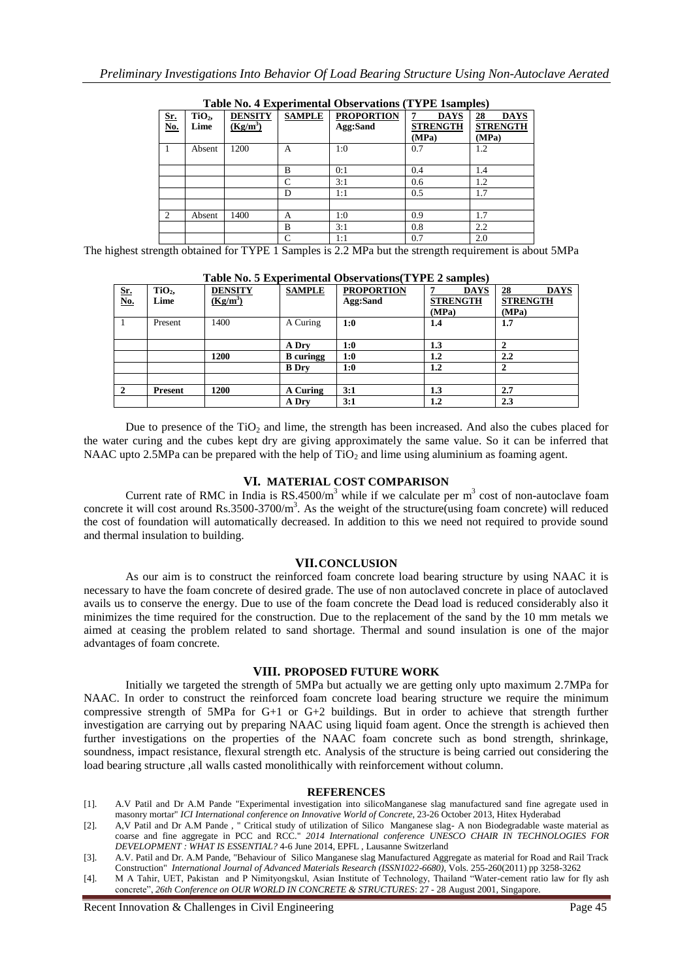| <b>SAMPLE</b><br><b>PROPORTION</b><br><b>DENSITY</b><br><b>DAYS</b><br>TiO <sub>2</sub><br>28<br>Sr.<br>No.<br>7<br>$(Kg/m^3)$<br><b>STRENGTH</b><br>Agg:Sand<br>Lime<br>(MPa)<br>(MPa)<br>0.7<br>1:0<br>1200<br>1.2<br>Absent<br>A<br>0:1<br>B<br>0.4<br>1.4<br>3:1<br>C<br>0.6<br>1.2<br>0.5<br>1:1<br>1.7<br>D<br>$\overline{2}$<br>1400<br>1:0<br>0.9<br>1.7<br>Absent<br>А<br>3:1<br>0.8<br>2.2<br>B<br>0.7<br>$\mathsf{C}$<br>1:1<br>2.0 |  |  |  | $  \prime$                     |
|------------------------------------------------------------------------------------------------------------------------------------------------------------------------------------------------------------------------------------------------------------------------------------------------------------------------------------------------------------------------------------------------------------------------------------------------|--|--|--|--------------------------------|
|                                                                                                                                                                                                                                                                                                                                                                                                                                                |  |  |  | <b>DAYS</b><br><b>STRENGTH</b> |
|                                                                                                                                                                                                                                                                                                                                                                                                                                                |  |  |  |                                |
|                                                                                                                                                                                                                                                                                                                                                                                                                                                |  |  |  |                                |
|                                                                                                                                                                                                                                                                                                                                                                                                                                                |  |  |  |                                |
|                                                                                                                                                                                                                                                                                                                                                                                                                                                |  |  |  |                                |
|                                                                                                                                                                                                                                                                                                                                                                                                                                                |  |  |  |                                |
|                                                                                                                                                                                                                                                                                                                                                                                                                                                |  |  |  |                                |
|                                                                                                                                                                                                                                                                                                                                                                                                                                                |  |  |  |                                |
|                                                                                                                                                                                                                                                                                                                                                                                                                                                |  |  |  |                                |

**Table No. 4 Experimental Observations (TYPE 1samples)**

The highest strength obtained for TYPE 1 Samples is 2.2 MPa but the strength requirement is about 5MPa

|                                 | Table FW. 3 Experimental Observations I II E 2 samples |                |                  |                   |                 |                   |  |
|---------------------------------|--------------------------------------------------------|----------------|------------------|-------------------|-----------------|-------------------|--|
| $\frac{\text{Sr.}}{\text{No.}}$ | TiO <sub>2</sub>                                       | <b>DENSITY</b> | <b>SAMPLE</b>    | <b>PROPORTION</b> | <b>DAYS</b>     | <b>DAYS</b><br>28 |  |
|                                 | Lime                                                   | $(Kg/m^3)$     |                  | Agg:Sand          | <b>STRENGTH</b> | <b>STRENGTH</b>   |  |
|                                 |                                                        |                |                  |                   | (MPa)           | (MPa)             |  |
|                                 | Present                                                | 1400           | A Curing         | 1:0               | 1.4             | 1.7               |  |
|                                 |                                                        |                |                  |                   |                 |                   |  |
|                                 |                                                        |                | A Dry            | 1:0               | 1.3             | $\mathbf{2}$      |  |
|                                 |                                                        | 1200           | <b>B</b> curingg | 1:0               | $1.2\,$         | $2.2\phantom{0}$  |  |
|                                 |                                                        |                | <b>B</b> Drv     | 1:0               | 1.2             |                   |  |
|                                 |                                                        |                |                  |                   |                 |                   |  |
| $\overline{2}$                  | Present                                                | 1200           | A Curing         | 3:1               | 1.3             | 2.7               |  |
|                                 |                                                        |                | A Dry            | 3:1               | $1.2\,$         | 2.3               |  |

**Table No. 5 Experimental Observations(TYPE 2 samples)**

Due to presence of the  $TiO<sub>2</sub>$  and lime, the strength has been increased. And also the cubes placed for the water curing and the cubes kept dry are giving approximately the same value. So it can be inferred that NAAC upto 2.5MPa can be prepared with the help of  $TiO<sub>2</sub>$  and lime using aluminium as foaming agent.

## **VI. MATERIAL COST COMPARISON**

Current rate of RMC in India is  $RS.4500/m<sup>3</sup>$  while if we calculate per  $m<sup>3</sup>$  cost of non-autoclave foam concrete it will cost around  $Rs.3500-3700/m<sup>3</sup>$ . As the weight of the structure(using foam concrete) will reduced the cost of foundation will automatically decreased. In addition to this we need not required to provide sound and thermal insulation to building.

## **VII.CONCLUSION**

As our aim is to construct the reinforced foam concrete load bearing structure by using NAAC it is necessary to have the foam concrete of desired grade. The use of non autoclaved concrete in place of autoclaved avails us to conserve the energy. Due to use of the foam concrete the Dead load is reduced considerably also it minimizes the time required for the construction. Due to the replacement of the sand by the 10 mm metals we aimed at ceasing the problem related to sand shortage. Thermal and sound insulation is one of the major advantages of foam concrete.

# **VIII. PROPOSED FUTURE WORK**

Initially we targeted the strength of 5MPa but actually we are getting only upto maximum 2.7MPa for NAAC. In order to construct the reinforced foam concrete load bearing structure we require the minimum compressive strength of 5MPa for G+1 or G+2 buildings. But in order to achieve that strength further investigation are carrying out by preparing NAAC using liquid foam agent. Once the strength is achieved then further investigations on the properties of the NAAC foam concrete such as bond strength, shrinkage, soundness, impact resistance, flexural strength etc. Analysis of the structure is being carried out considering the load bearing structure ,all walls casted monolithically with reinforcement without column.

## **REFERENCES**

- [1]. A.V Patil and Dr A.M Pande "Experimental investigation into silicoManganese slag manufactured sand fine agregate used in masonry mortar" *ICI International conference on Innovative World of Concrete*, 23-26 October 2013, Hitex Hyderabad
- [2]. A,V Patil and Dr A.M Pande , " Critical study of utilization of Silico Manganese slag- A non Biodegradable waste material as coarse and fine aggregate in PCC and RCC." *2014 International conference UNESCO CHAIR IN TECHNOLOGIES FOR DEVELOPMENT : WHAT IS ESSENTIAL?* 4-6 June 2014, EPFL , Lausanne Switzerland
- [3]. A.V. Patil and Dr. A.M Pande, "Behaviour of Silico Manganese slag Manufactured Aggregate as material for Road and Rail Track Construction" *International Journal of Advanced Materials Research (ISSN1022-6680),* Vols. 255-260(2011) pp 3258-3262
- [4]. M A Tahir, UET, Pakistan and P Nimityongskul, Asian Institute of Technology, Thailand "Water-cement ratio law for fly ash concrete", *26th Conference on OUR WORLD IN CONCRETE & STRUCTURES*: 27 - 28 August 2001, Singapore.

Recent Innovation & Challenges in Civil Engineering Page 45